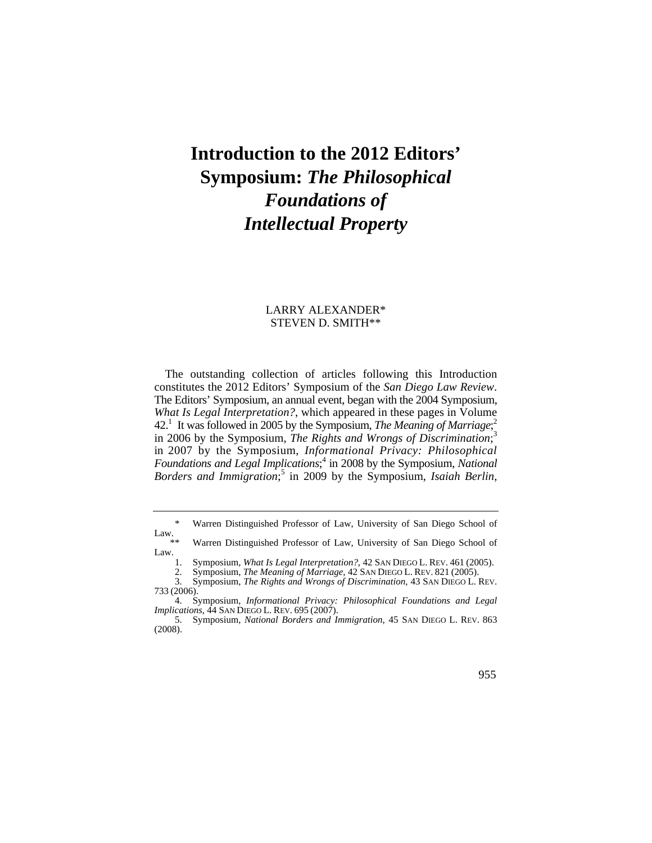## **Introduction to the 2012 Editors' Symposium:** *The Philosophical Foundations of Intellectual Property*

## LARRY ALEXANDER\* STEVEN D. SMITH\*\*

What Is Legal Interpretation?, which appeared in these pages in Volume in 2007 by the Symposium, *Informational Privacy: Philosophical*  The outstanding collection of articles following this Introduction constitutes the 2012 Editors' Symposium of the *San Diego Law Review*. The Editors' Symposium, an annual event, began with the 2004 Symposium, 42<sup>1</sup> It was followed in 2005 by the Symposium, *The Meaning of Marriage*;<sup>2</sup> in 2006 by the Symposium, *The Rights and Wrongs of Discrimination*; 3 Foundations and Legal Implications;<sup>4</sup> in 2008 by the Symposium, *National* Borders and Immigration;<sup>5</sup> in 2009 by the Symposium, Isaiah Berlin,

Law.  $***$ 

2. Symposium, *The Meaning of Marriage*, 42 SAN DIEGO L. REV. 821 (2005).

955

Warren Distinguished Professor of Law, University of San Diego School of

Warren Distinguished Professor of Law, University of San Diego School of Law.  $\frac{1}{1}$ .

 1. Symposium, *What Is Legal Interpretation?*, 42 SAN DIEGO L. REV. 461 (2005).

<sup>3.</sup> Symposium, *The Rights and Wrongs of Discrimination*, 43 SAN DIEGO L. REV. 733 (2006).

 *Implications*, 44 SAN DIEGO L. REV. 695 (2007). 4. Symposium, *Informational Privacy: Philosophical Foundations and Legal* 

 5. Symposium, *National Borders and Immigration*, 45 SAN DIEGO L. REV. 863 (2008).